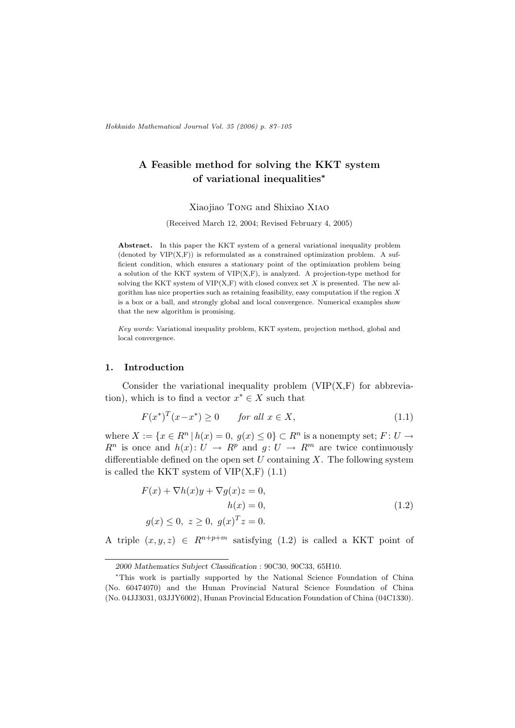Hokkaido Mathematical Journal Vol. 35 (2006) p. 87–105

# A Feasible method for solving the KKT system of variational inequalities<sup>∗</sup>

Xiaojiao Tong and Shixiao Xiao

(Received March 12, 2004; Revised February 4, 2005)

Abstract. In this paper the KKT system of a general variational inequality problem (denoted by  $VIP(X, F)$ ) is reformulated as a constrained optimization problem. A sufficient condition, which ensures a stationary point of the optimization problem being a solution of the KKT system of  $VIP(X,F)$ , is analyzed. A projection-type method for solving the KKT system of  $VIP(X, F)$  with closed convex set X is presented. The new algorithm has nice properties such as retaining feasibility, easy computation if the region  $X$ is a box or a ball, and strongly global and local convergence. Numerical examples show that the new algorithm is promising.

Key words: Variational inequality problem, KKT system, projection method, global and local convergence.

### 1. Introduction

Consider the variational inequality problem  $(VIP(X,F))$  for abbreviation), which is to find a vector  $x^* \in X$  such that

$$
F(x^*)^T(x-x^*) \ge 0 \qquad \text{for all } x \in X,\tag{1.1}
$$

where  $X := \{x \in R^n \mid h(x) = 0, g(x) \leq 0\} \subset R^n$  is a nonempty set;  $F: U \to$  $R^n$  is once and  $h(x)$ :  $U \rightarrow R^p$  and  $g: U \rightarrow R^m$  are twice continuously differentiable defined on the open set  $U$  containing  $X$ . The following system is called the KKT system of  $VIP(X,F)$  (1.1)

$$
F(x) + \nabla h(x)y + \nabla g(x)z = 0,
$$
  
\n
$$
h(x) = 0,
$$
  
\n
$$
g(x) \le 0, \ z \ge 0, \ g(x)^{T}z = 0.
$$
\n(1.2)

A triple  $(x, y, z) \in R^{n+p+m}$  satisfying (1.2) is called a KKT point of

<sup>2000</sup> Mathematics Subject Classification : 90C30, 90C33, 65H10.

<sup>∗</sup>This work is partially supported by the National Science Foundation of China (No. 60474070) and the Hunan Provincial Natural Science Foundation of China (No. 04JJ3031, 03JJY6002), Hunan Provincial Education Foundation of China (04C1330).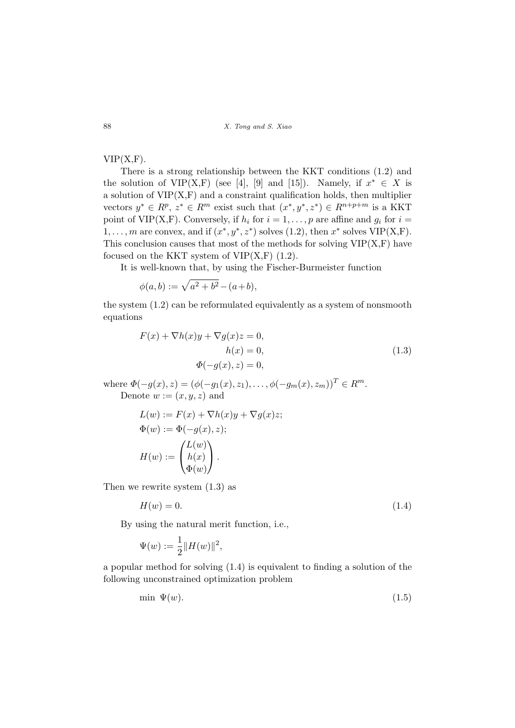# $VIP(X,F)$ .

There is a strong relationship between the KKT conditions (1.2) and the solution of VIP(X,F) (see [4], [9] and [15]). Namely, if  $x^* \in X$  is a solution of  $VIP(X,F)$  and a constraint qualification holds, then multiplier vectors  $y^* \in R^p$ ,  $z^* \in R^m$  exist such that  $(x^*, y^*, z^*) \in R^{n+p+m}$  is a KKT point of VIP(X,F). Conversely, if  $h_i$  for  $i = 1, \ldots, p$  are affine and  $g_i$  for  $i =$  $1, \ldots, m$  are convex, and if  $(x^*, y^*, z^*)$  solves  $(1.2)$ , then  $x^*$  solves  $VIP(X,F)$ . This conclusion causes that most of the methods for solving  $VIP(X,F)$  have focused on the KKT system of  $VIP(X,F)$  (1.2).

It is well-known that, by using the Fischer-Burmeister function

$$
\phi(a, b) := \sqrt{a^2 + b^2} - (a + b),
$$

the system (1.2) can be reformulated equivalently as a system of nonsmooth equations

$$
F(x) + \nabla h(x)y + \nabla g(x)z = 0,
$$
  
\n
$$
h(x) = 0,
$$
  
\n
$$
\Phi(-g(x), z) = 0,
$$
\n(1.3)

where  $\Phi(-g(x), z) = (\phi(-g_1(x), z_1), \dots, \phi(-g_m(x), z_m))^T \in R^m$ . Denote  $w := (x, y, z)$  and

$$
L(w) := F(x) + \nabla h(x)y + \nabla g(x)z;
$$
  
\n
$$
\Phi(w) := \Phi(-g(x), z);
$$
  
\n
$$
H(w) := \begin{pmatrix} L(w) \\ h(x) \\ \Phi(w) \end{pmatrix}.
$$

Then we rewrite system (1.3) as

$$
H(w) = 0.\t\t(1.4)
$$

By using the natural merit function, i.e.,

$$
\Psi(w) := \frac{1}{2} ||H(w)||^2,
$$

a popular method for solving (1.4) is equivalent to finding a solution of the following unconstrained optimization problem

$$
\min \Psi(w). \tag{1.5}
$$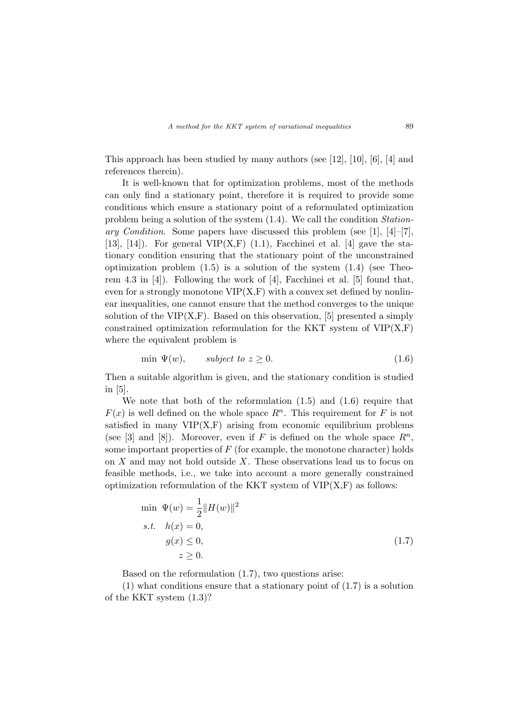This approach has been studied by many authors (see [12], [10], [6], [4] and references therein).

It is well-known that for optimization problems, most of the methods can only find a stationary point, therefore it is required to provide some conditions which ensure a stationary point of a reformulated optimization problem being a solution of the system (1.4). We call the condition Stationary Condition. Some papers have discussed this problem (see [1],  $[4]-[7]$ , [13], [14]). For general  $VIP(X,F)$  (1.1), Facchinei et al. [4] gave the stationary condition ensuring that the stationary point of the unconstrained optimization problem  $(1.5)$  is a solution of the system  $(1.4)$  (see Theorem 4.3 in [4]). Following the work of [4], Facchinei et al. [5] found that, even for a strongly monotone  $VIP(X, F)$  with a convex set defined by nonlinear inequalities, one cannot ensure that the method converges to the unique solution of the  $VIP(X,F)$ . Based on this observation, [5] presented a simply constrained optimization reformulation for the KKT system of  $VIP(X,F)$ where the equivalent problem is

$$
\min \Psi(w), \qquad subject \ to \ z \ge 0. \tag{1.6}
$$

Then a suitable algorithm is given, and the stationary condition is studied in [5].

We note that both of the reformulation  $(1.5)$  and  $(1.6)$  require that  $F(x)$  is well defined on the whole space  $R<sup>n</sup>$ . This requirement for F is not satisfied in many  $VIP(X,F)$  arising from economic equilibrium problems (see [3] and [8]). Moreover, even if F is defined on the whole space  $R^n$ , some important properties of  $F$  (for example, the monotone character) holds on  $X$  and may not hold outside  $X$ . These observations lead us to focus on feasible methods, i.e., we take into account a more generally constrained optimization reformulation of the KKT system of  $VIP(X,F)$  as follows:

$$
\min \Psi(w) = \frac{1}{2} ||H(w)||^2
$$
  
s.t.  $h(x) = 0$ ,  
 $g(x) \le 0$ ,  
 $z \ge 0$ . (1.7)

Based on the reformulation (1.7), two questions arise:

(1) what conditions ensure that a stationary point of (1.7) is a solution of the KKT system (1.3)?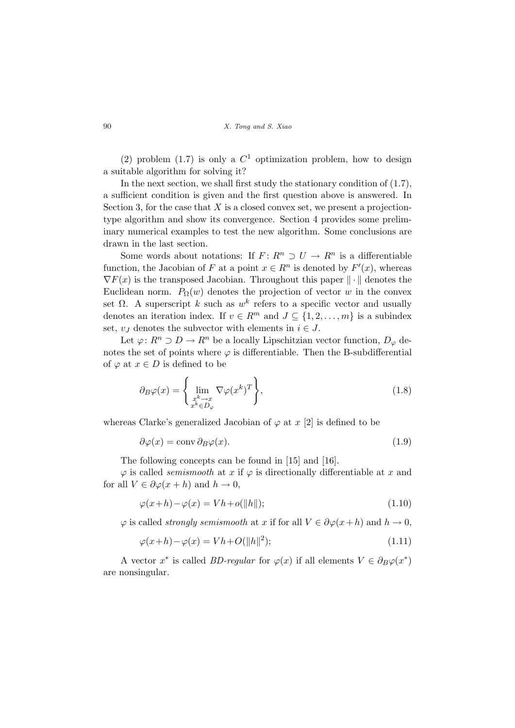(2) problem (1.7) is only a  $C<sup>1</sup>$  optimization problem, how to design a suitable algorithm for solving it?

In the next section, we shall first study the stationary condition of (1.7), a sufficient condition is given and the first question above is answered. In Section 3, for the case that  $X$  is a closed convex set, we present a projectiontype algorithm and show its convergence. Section 4 provides some preliminary numerical examples to test the new algorithm. Some conclusions are drawn in the last section.

Some words about notations: If  $F: R^n \supset U \to R^n$  is a differentiable function, the Jacobian of F at a point  $x \in \mathbb{R}^n$  is denoted by  $F'(x)$ , whereas  $\nabla F(x)$  is the transposed Jacobian. Throughout this paper  $\|\cdot\|$  denotes the Euclidean norm.  $P_{\Omega}(w)$  denotes the projection of vector w in the convex set  $\Omega$ . A superscript k such as w<sup>k</sup> refers to a specific vector and usually denotes an iteration index. If  $v \in \mathbb{R}^m$  and  $J \subseteq \{1, 2, \ldots, m\}$  is a subindex set,  $v_J$  denotes the subvector with elements in  $i \in J$ .

Let  $\varphi: R^n \supset D \to R^n$  be a locally Lipschitzian vector function,  $D_{\varphi}$  denotes the set of points where  $\varphi$  is differentiable. Then the B-subdifferential of  $\varphi$  at  $x \in D$  is defined to be

$$
\partial_B \varphi(x) = \left\{ \lim_{\substack{x^k \to x \\ x^k \in D_{\varphi}}} \nabla \varphi(x^k)^T \right\},\tag{1.8}
$$

whereas Clarke's generalized Jacobian of  $\varphi$  at x [2] is defined to be

$$
\partial \varphi(x) = \text{conv}\,\partial_B \varphi(x). \tag{1.9}
$$

The following concepts can be found in [15] and [16].

 $\varphi$  is called *semismooth* at x if  $\varphi$  is directionally differentiable at x and for all  $V \in \partial \varphi(x+h)$  and  $h \to 0$ ,

$$
\varphi(x+h) - \varphi(x) = Vh + o(||h||); \tag{1.10}
$$

 $\varphi$  is called *strongly semismooth* at x if for all  $V \in \partial \varphi(x+h)$  and  $h \to 0$ ,

$$
\varphi(x+h) - \varphi(x) = Vh + O(||h||^2); \tag{1.11}
$$

A vector  $x^*$  is called *BD-regular* for  $\varphi(x)$  if all elements  $V \in \partial_B \varphi(x^*)$ are nonsingular.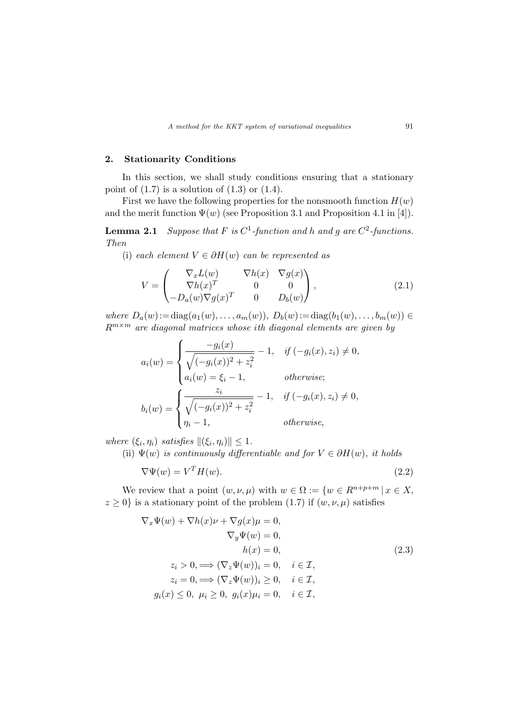## 2. Stationarity Conditions

In this section, we shall study conditions ensuring that a stationary point of  $(1.7)$  is a solution of  $(1.3)$  or  $(1.4)$ .

First we have the following properties for the nonsmooth function  $H(w)$ and the merit function  $\Psi(w)$  (see Proposition 3.1 and Proposition 4.1 in [4]).

**Lemma 2.1** Suppose that F is  $C^1$ -function and h and g are  $C^2$ -functions. Then

(i) each element  $V \in \partial H(w)$  can be represented as

$$
V = \begin{pmatrix} \nabla_x L(w) & \nabla h(x) & \nabla g(x) \\ \nabla h(x)^T & 0 & 0 \\ -D_a(w) \nabla g(x)^T & 0 & D_b(w) \end{pmatrix},
$$
\n(2.1)

where  $D_a(w) := diag(a_1(w), \ldots, a_m(w)), D_b(w) := diag(b_1(w), \ldots, b_m(w)) \in$  $R^{m \times m}$  are diagonal matrices whose ith diagonal elements are given by

$$
a_i(w) = \begin{cases} \frac{-g_i(x)}{\sqrt{(-g_i(x))^2 + z_i^2}} - 1, & \text{if } (-g_i(x), z_i) \neq 0, \\ a_i(w) = \xi_i - 1, & \text{otherwise;} \end{cases}
$$

$$
b_i(w) = \begin{cases} \frac{z_i}{\sqrt{(-g_i(x))^2 + z_i^2}} - 1, & \text{if } (-g_i(x), z_i) \neq 0, \\ \eta_i - 1, & \text{otherwise,} \end{cases}
$$

where  $(\xi_i, \eta_i)$  satisfies  $\|(\xi_i, \eta_i)\| \leq 1$ .

(ii)  $\Psi(w)$  is continuously differentiable and for  $V \in \partial H(w)$ , it holds

$$
\nabla \Psi(w) = V^T H(w). \tag{2.2}
$$

We review that a point  $(w, \nu, \mu)$  with  $w \in \Omega := \{w \in R^{n+p+m} | x \in X, \}$  $z \geq 0$  is a stationary point of the problem (1.7) if  $(w, \nu, \mu)$  satisfies

$$
\nabla_x \Psi(w) + \nabla h(x)\nu + \nabla g(x)\mu = 0,
$$
  
\n
$$
\nabla_y \Psi(w) = 0,
$$
  
\n
$$
h(x) = 0,
$$
  
\n
$$
z_i > 0, \Longrightarrow (\nabla_z \Psi(w))_i = 0, \quad i \in \mathcal{I},
$$
  
\n
$$
z_i = 0, \Longrightarrow (\nabla_z \Psi(w))_i \ge 0, \quad i \in \mathcal{I},
$$
  
\n
$$
g_i(x) \le 0, \mu_i \ge 0, \ g_i(x)\mu_i = 0, \quad i \in \mathcal{I},
$$
\n(2.3)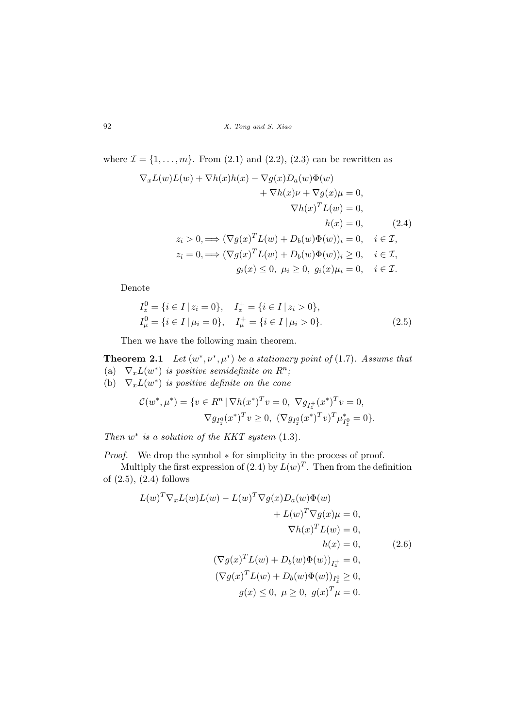where  $\mathcal{I} = \{1, \ldots, m\}$ . From (2.1) and (2.2), (2.3) can be rewritten as

$$
\nabla_x L(w)L(w) + \nabla h(x)h(x) - \nabla g(x)D_a(w)\Phi(w)
$$
  
+ 
$$
\nabla h(x)\nu + \nabla g(x)\mu = 0,
$$
  

$$
\nabla h(x)^T L(w) = 0,
$$
  

$$
h(x) = 0, \qquad (2.4)
$$
  

$$
z_i > 0, \Longrightarrow (\nabla g(x)^T L(w) + D_b(w)\Phi(w))_i = 0, \quad i \in \mathcal{I},
$$
  

$$
z_i = 0, \Longrightarrow (\nabla g(x)^T L(w) + D_b(w)\Phi(w))_i \ge 0, \quad i \in \mathcal{I},
$$
  

$$
g_i(x) \le 0, \mu_i \ge 0, \ g_i(x)\mu_i = 0, \quad i \in \mathcal{I}.
$$

Denote

$$
I_z^0 = \{i \in I \mid z_i = 0\}, \quad I_z^+ = \{i \in I \mid z_i > 0\},
$$
  
\n
$$
I_\mu^0 = \{i \in I \mid \mu_i = 0\}, \quad I_\mu^+ = \{i \in I \mid \mu_i > 0\}.
$$
\n(2.5)

Then we have the following main theorem.

**Theorem 2.1** Let  $(w^*, \nu^*, \mu^*)$  be a stationary point of (1.7). Assume that (a)  $\nabla_x L(w^*)$  is positive semidefinite on  $R^n$ ; (b)  $\nabla_x L(w^*)$  is positive definite on the cone

$$
\mathcal{C}(w^*, \mu^*) = \{ v \in R^n \mid \nabla h(x^*)^T v = 0, \nabla g_{I_z^+}(x^*)^T v = 0, \n\nabla g_{I_z^0}(x^*)^T v \ge 0, \nabla g_{I_z^0}(x^*)^T v \}^T \mu_{I_z^0}^* = 0 \}.
$$

Then  $w^*$  is a solution of the KKT system  $(1.3)$ .

*Proof.* We drop the symbol ∗ for simplicity in the process of proof.

Multiply the first expression of  $(2.4)$  by  $L(w)^T$ . Then from the definition of (2.5), (2.4) follows

$$
L(w)^T \nabla_x L(w) L(w) - L(w)^T \nabla g(x) D_a(w) \Phi(w)
$$
  
+ 
$$
L(w)^T \nabla g(x) \mu = 0,
$$
  

$$
\nabla h(x)^T L(w) = 0,
$$
  

$$
h(x) = 0,
$$
  

$$
(\nabla g(x)^T L(w) + D_b(w) \Phi(w))_{I_x^+} = 0,
$$
  

$$
(\nabla g(x)^T L(w) + D_b(w) \Phi(w))_{I_x^0} \ge 0,
$$
  

$$
g(x) \le 0, \quad \mu \ge 0, \quad g(x)^T \mu = 0.
$$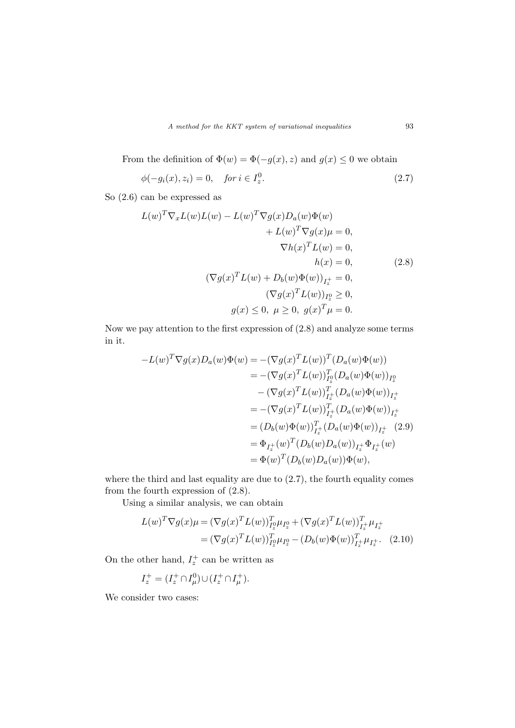A method for the KKT system of variational inequalities 93

From the definition of  $\Phi(w) = \Phi(-g(x), z)$  and  $g(x) \leq 0$  we obtain

$$
\phi(-g_i(x), z_i) = 0, \quad \text{for } i \in I_z^0. \tag{2.7}
$$

So (2.6) can be expressed as

$$
L(w)^T \nabla_x L(w) L(w) - L(w)^T \nabla g(x) D_a(w) \Phi(w)
$$
  
+ 
$$
L(w)^T \nabla g(x) \mu = 0,
$$
  

$$
\nabla h(x)^T L(w) = 0,
$$
  

$$
h(x) = 0,
$$
  

$$
(\nabla g(x)^T L(w) + D_b(w) \Phi(w))_{I_z^+} = 0,
$$
  

$$
(\nabla g(x)^T L(w))_{I_z^0} \ge 0,
$$
  

$$
g(x) \le 0, \quad \mu \ge 0, \quad g(x)^T \mu = 0.
$$
 (2.8)

Now we pay attention to the first expression of (2.8) and analyze some terms in it.

$$
-L(w)^{T} \nabla g(x) D_{a}(w) \Phi(w) = -(\nabla g(x)^{T} L(w))^{T} (D_{a}(w) \Phi(w))
$$
  

$$
= -(\nabla g(x)^{T} L(w))_{I_{2}^{0}}^{T} (D_{a}(w) \Phi(w))_{I_{2}^{0}}
$$
  

$$
- (\nabla g(x)^{T} L(w))_{I_{x}^{+}}^{T} (D_{a}(w) \Phi(w))_{I_{x}^{+}}
$$
  

$$
= -(\nabla g(x)^{T} L(w))_{I_{x}^{+}}^{T} (D_{a}(w) \Phi(w))_{I_{x}^{+}}
$$
  

$$
= (D_{b}(w) \Phi(w))_{I_{x}^{+}}^{T} (D_{a}(w) \Phi(w))_{I_{x}^{+}} (2.9)
$$
  

$$
= \Phi_{I_{x}^{+}}(w)^{T} (D_{b}(w) D_{a}(w))_{I_{x}^{+}} \Phi_{I_{x}^{+}}(w)
$$
  

$$
= \Phi(w)^{T} (D_{b}(w) D_{a}(w)) \Phi(w),
$$

where the third and last equality are due to (2.7), the fourth equality comes from the fourth expression of (2.8).

Using a similar analysis, we can obtain

$$
L(w)^{T} \nabla g(x) \mu = (\nabla g(x)^{T} L(w))_{I_{x}^{0}}^{T} \mu_{I_{x}^{0}} + (\nabla g(x)^{T} L(w))_{I_{x}^{+}}^{T} \mu_{I_{x}^{+}} = (\nabla g(x)^{T} L(w))_{I_{x}^{0}}^{T} \mu_{I_{x}^{0}} - (D_{b}(w) \Phi(w))_{I_{x}^{+}}^{T} \mu_{I_{x}^{+}}.
$$
 (2.10)

On the other hand,  $I_z^+$  can be written as

$$
I_z^+ = (I_z^+ \cap I_\mu^0) \cup (I_z^+ \cap I_\mu^+).
$$

We consider two cases: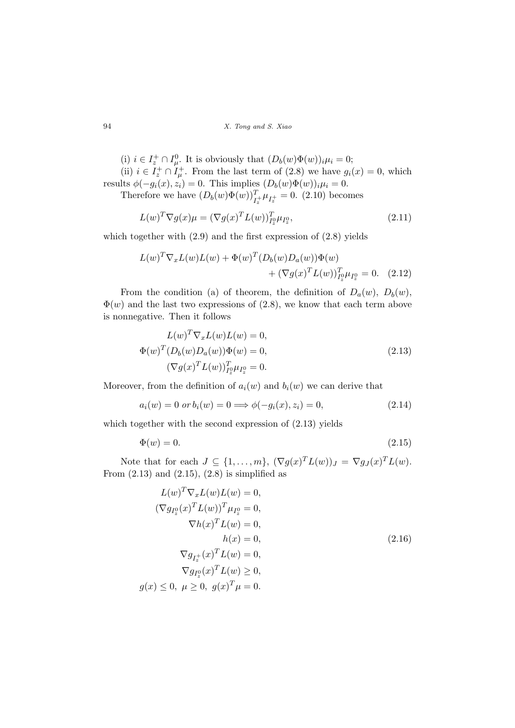(i)  $i \in I_z^+ \cap I_{\mu}^0$ . It is obviously that  $(D_b(w)\Phi(w))_i \mu_i = 0$ ;

(ii)  $i \in I_z^+ \cap I_{\mu}^+$ . From the last term of (2.8) we have  $g_i(x) = 0$ , which results  $\phi(-g_i(x), z_i) = 0$ . This implies  $(D_b(w)\Phi(w))_i\mu_i = 0$ .

Therefore we have  $(D_b(w)\Phi(w))_{I_z^+}^T\mu_{I_z^+} = 0.$  (2.10) becomes

$$
L(w)^T \nabla g(x) \mu = (\nabla g(x)^T L(w))_{I_x^0}^T \mu_{I_x^0},
$$
\n(2.11)

which together with  $(2.9)$  and the first expression of  $(2.8)$  yields

$$
L(w)^{T} \nabla_{x} L(w) L(w) + \Phi(w)^{T} (D_{b}(w) D_{a}(w)) \Phi(w)
$$
  
+  $(\nabla g(x)^{T} L(w))_{I_{2}^{0}}^{T} \mu_{I_{2}^{0}} = 0.$  (2.12)

From the condition (a) of theorem, the definition of  $D_a(w)$ ,  $D_b(w)$ ,  $\Phi(w)$  and the last two expressions of (2.8), we know that each term above is nonnegative. Then it follows

$$
L(w)^T \nabla_x L(w) L(w) = 0,
$$
  
\n
$$
\Phi(w)^T (D_b(w) D_a(w)) \Phi(w) = 0,
$$
  
\n
$$
(\nabla g(x)^T L(w))_{I_2^o}^T \mu_{I_2^o} = 0.
$$
\n(2.13)

Moreover, from the definition of  $a_i(w)$  and  $b_i(w)$  we can derive that

$$
a_i(w) = 0 \text{ or } b_i(w) = 0 \Longrightarrow \phi(-g_i(x), z_i) = 0,
$$
\n(2.14)

which together with the second expression of  $(2.13)$  yields

$$
\Phi(w) = 0.\tag{2.15}
$$

Note that for each  $J \subseteq \{1, \ldots, m\}$ ,  $(\nabla g(x)^T L(w))_J = \nabla g_J(x)^T L(w)$ . From  $(2.13)$  and  $(2.15)$ ,  $(2.8)$  is simplified as

$$
L(w)^T \nabla_x L(w) L(w) = 0,
$$
  
\n
$$
(\nabla g_{I_2^0}(x)^T L(w))^T \mu_{I_2^0} = 0,
$$
  
\n
$$
\nabla h(x)^T L(w) = 0,
$$
  
\n
$$
h(x) = 0,
$$
  
\n
$$
\nabla g_{I_2^+}(x)^T L(w) = 0,
$$
  
\n
$$
\nabla g_{I_2^0}(x)^T L(w) \ge 0,
$$
  
\n
$$
g(x) \le 0, \quad \mu \ge 0, \quad g(x)^T \mu = 0.
$$
\n(2.16)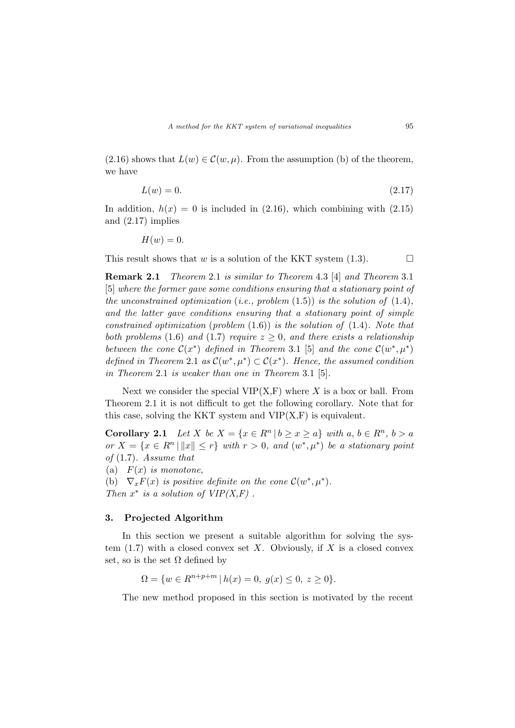$(2.16)$  shows that  $L(w) \in \mathcal{C}(w, \mu)$ . From the assumption (b) of the theorem, we have

$$
L(w) = 0.\tag{2.17}
$$

In addition,  $h(x) = 0$  is included in (2.16), which combining with (2.15) and (2.17) implies

$$
H(w)=0.
$$

This result shows that w is a solution of the KKT system  $(1.3)$ .  $\Box$ 

Remark 2.1 Theorem 2.1 is similar to Theorem 4.3 [4] and Theorem 3.1 [5] where the former gave some conditions ensuring that a stationary point of the unconstrained optimization (i.e., problem  $(1.5)$ ) is the solution of  $(1.4)$ , and the latter gave conditions ensuring that a stationary point of simple constrained optimization (problem  $(1.6)$ ) is the solution of  $(1.4)$ . Note that both problems (1.6) and (1.7) require  $z \geq 0$ , and there exists a relationship between the cone  $\mathcal{C}(x^*)$  defined in Theorem 3.1 [5] and the cone  $\mathcal{C}(w^*, \mu^*)$ defined in Theorem 2.1 as  $\mathcal{C}(w^*, \mu^*) \subset \mathcal{C}(x^*)$ . Hence, the assumed condition in Theorem 2.1 is weaker than one in Theorem 3.1 [5].

Next we consider the special  $VIP(X,F)$  where X is a box or ball. From Theorem 2.1 it is not difficult to get the following corollary. Note that for this case, solving the KKT system and  $VIP(X,F)$  is equivalent.

Corollary 2.1 Let X be  $X = \{x \in R^n | b \ge x \ge a\}$  with  $a, b \in R^n, b > a$ or  $X = \{x \in \mathbb{R}^n \mid ||x|| \leq r\}$  with  $r > 0$ , and  $(w^*, \mu^*)$  be a stationary point of (1.7). Assume that

(a)  $F(x)$  is monotone,

(b)  $\nabla_x F(x)$  is positive definite on the cone  $\mathcal{C}(w^*, \mu^*)$ .

Then  $x^*$  is a solution of  $VIP(X,F)$ .

### 3. Projected Algorithm

In this section we present a suitable algorithm for solving the system  $(1.7)$  with a closed convex set X. Obviously, if X is a closed convex set, so is the set  $\Omega$  defined by

 $\Omega = \{w \in R^{n+p+m} \mid h(x) = 0, g(x) \leq 0, z \geq 0\}.$ 

The new method proposed in this section is motivated by the recent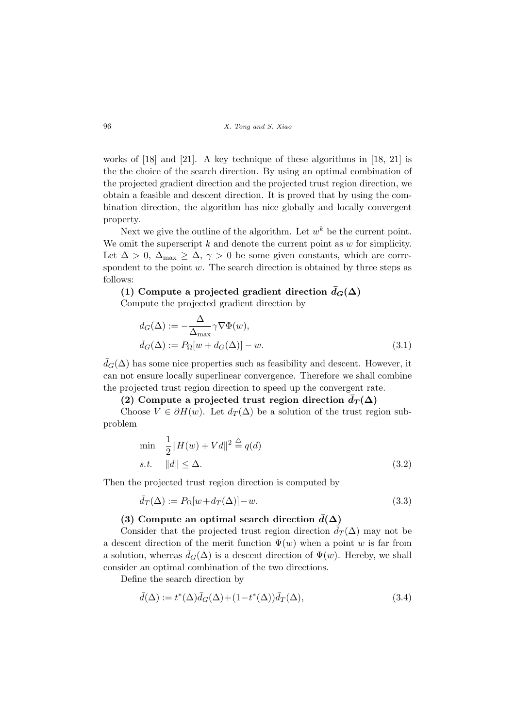works of [18] and [21]. A key technique of these algorithms in [18, 21] is the the choice of the search direction. By using an optimal combination of the projected gradient direction and the projected trust region direction, we obtain a feasible and descent direction. It is proved that by using the combination direction, the algorithm has nice globally and locally convergent property.

Next we give the outline of the algorithm. Let  $w^k$  be the current point. We omit the superscript  $k$  and denote the current point as  $w$  for simplicity. Let  $\Delta > 0$ ,  $\Delta_{\text{max}} \geq \Delta$ ,  $\gamma > 0$  be some given constants, which are correspondent to the point  $w$ . The search direction is obtained by three steps as follows:

# (1) Compute a projected gradient direction  $\bar{d}_G(\Delta)$

Compute the projected gradient direction by

$$
d_G(\Delta) := -\frac{\Delta}{\Delta_{\text{max}}} \gamma \nabla \Phi(w),
$$
  
\n
$$
\bar{d}_G(\Delta) := P_{\Omega}[w + d_G(\Delta)] - w.
$$
\n(3.1)

 $\bar{d}_G(\Delta)$  has some nice properties such as feasibility and descent. However, it can not ensure locally superlinear convergence. Therefore we shall combine the projected trust region direction to speed up the convergent rate.

# (2) Compute a projected trust region direction  $d_T(\Delta)$

Choose  $V \in \partial H(w)$ . Let  $d_T(\Delta)$  be a solution of the trust region subproblem

$$
\min \quad \frac{1}{2} \|H(w) + Vd\|^2 \stackrel{\triangle}{=} q(d)
$$
\n
$$
s.t. \quad \|d\| \le \Delta. \tag{3.2}
$$

Then the projected trust region direction is computed by

$$
\bar{d}_T(\Delta) := P_{\Omega}[w + d_T(\Delta)] - w. \tag{3.3}
$$

# (3) Compute an optimal search direction  $d(\Delta)$

Consider that the projected trust region direction  $\bar{d}_T(\Delta)$  may not be a descent direction of the merit function  $\Psi(w)$  when a point w is far from a solution, whereas  $\bar{d}_G(\Delta)$  is a descent direction of  $\Psi(w)$ . Hereby, we shall consider an optimal combination of the two directions.

Define the search direction by

$$
\bar{d}(\Delta) := t^*(\Delta)\bar{d}_G(\Delta) + (1 - t^*(\Delta))\bar{d}_T(\Delta),\tag{3.4}
$$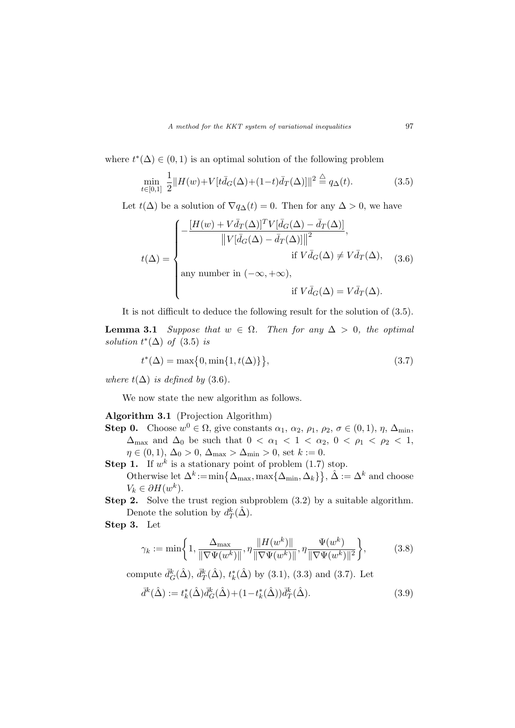where  $t^*(\Delta) \in (0,1)$  is an optimal solution of the following problem

$$
\min_{t \in [0,1]} \frac{1}{2} ||H(w) + V[t\bar{d}_G(\Delta) + (1-t)\bar{d}_T(\Delta)]]^2 \stackrel{\triangle}{=} q_\Delta(t). \tag{3.5}
$$

Let  $t(\Delta)$  be a solution of  $\nabla q_{\Delta}(t) = 0$ . Then for any  $\Delta > 0$ , we have

$$
t(\Delta) = \begin{cases} -\frac{[H(w) + V\bar{d}_T(\Delta)]^T V [\bar{d}_G(\Delta) - \bar{d}_T(\Delta)]}{\left\|V[\bar{d}_G(\Delta) - \bar{d}_T(\Delta)]\right\|^2}, \\qquad \qquad \text{if } V\bar{d}_G(\Delta) \neq V\bar{d}_T(\Delta), \\ \text{any number in } (-\infty, +\infty), \\qquad \qquad \text{if } V\bar{d}_G(\Delta) = V\bar{d}_T(\Delta). \end{cases} \tag{3.6}
$$

It is not difficult to deduce the following result for the solution of (3.5).

**Lemma 3.1** Suppose that  $w \in \Omega$ . Then for any  $\Delta > 0$ , the optimal solution  $t^*(\Delta)$  of (3.5) is

$$
t^*(\Delta) = \max\{0, \min\{1, t(\Delta)\}\},\tag{3.7}
$$

where  $t(\Delta)$  is defined by (3.6).

We now state the new algorithm as follows.

## Algorithm 3.1 (Projection Algorithm)

- **Step 0.** Choose  $w^0 \in \Omega$ , give constants  $\alpha_1, \alpha_2, \rho_1, \rho_2, \sigma \in (0,1), \eta, \Delta_{\min}$ ,  $\Delta_{\text{max}}$  and  $\Delta_0$  be such that  $0 < \alpha_1 < 1 < \alpha_2$ ,  $0 < \rho_1 < \rho_2 < 1$ ,  $\eta \in (0, 1), \Delta_0 > 0, \Delta_{\text{max}} > \Delta_{\text{min}} > 0$ , set  $k := 0$ .
- **Step 1.** If  $w^k$  is a stationary point of problem (1.7) stop. **1.** If w is a stationary point of problem (1.*t*) stop.<br>Otherwise let  $\Delta^k := \min\{\Delta_{\max}, \max\{\Delta_{\min}, \Delta_k\}\}, \hat{\Delta} := \Delta^k$  and choose  $V_k \in \partial H(w^k)$ .
- Step 2. Solve the trust region subproblem  $(3.2)$  by a suitable algorithm. Denote the solution by  $d_T^k(\hat{\Delta})$ .

Step 3. Let

$$
\gamma_k := \min\bigg\{1, \frac{\Delta_{\max}}{\|\nabla\Psi(w^k)\|}, \eta \frac{\|H(w^k)\|}{\|\nabla\Psi(w^k)\|}, \eta \frac{\Psi(w^k)}{\|\nabla\Psi(w^k)\|^2}\bigg\},\tag{3.8}
$$

compute  $\bar{d}_{G}^{k}(\hat{\Delta}), \bar{d}_{T}^{k}(\hat{\Delta}), t_{k}^{*}(\hat{\Delta})$  by (3.1), (3.3) and (3.7). Let

$$
\bar{d}^{k}(\hat{\Delta}) := t_{k}^{*}(\hat{\Delta})\bar{d}_{G}^{k}(\hat{\Delta}) + (1 - t_{k}^{*}(\hat{\Delta}))\bar{d}_{T}^{k}(\hat{\Delta}).
$$
\n(3.9)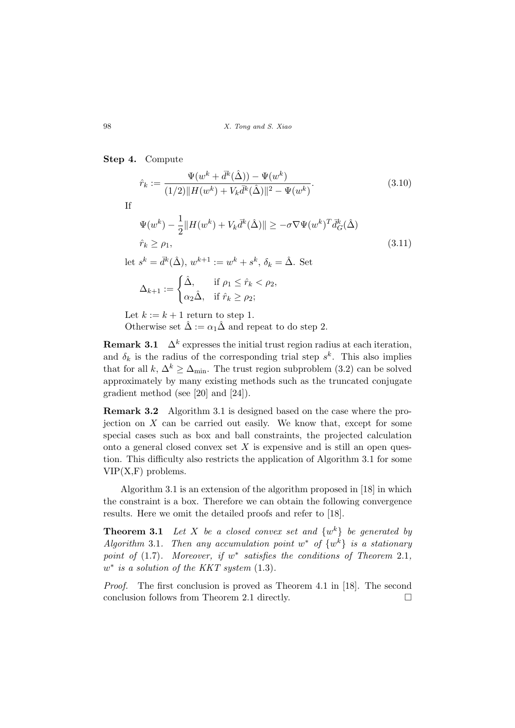### Step 4. Compute

$$
\hat{r}_k := \frac{\Psi(w^k + \bar{d}^k(\hat{\Delta})) - \Psi(w^k)}{(1/2) \| H(w^k) + V_k \bar{d}^k(\hat{\Delta}) \|^2 - \Psi(w^k)}.
$$
\n(3.10)

If

$$
\Psi(w^k) - \frac{1}{2} ||H(w^k) + V_k \bar{d}^k(\hat{\Delta})|| \ge -\sigma \nabla \Psi(w^k)^T \bar{d}^k_G(\hat{\Delta})
$$
\n
$$
\hat{r}_k \ge \rho_1,
$$
\n
$$
\text{let } s^k = \bar{d}^k(\hat{\Delta}), \ w^{k+1} := w^k + s^k, \ \delta_k = \hat{\Delta}. \text{ Set}
$$
\n
$$
\Delta_{k+1} := \begin{cases}\n\hat{\Delta}, & \text{if } \rho_1 \le \hat{r}_k < \rho_2, \\
\alpha_2 \hat{\Delta}, & \text{if } \hat{r}_k \ge \rho_2;\n\end{cases}
$$
\n(3.11)

Let  $k := k + 1$  return to step 1. Otherwise set  $\hat{\Delta} := \alpha_1 \hat{\Delta}$  and repeat to do step 2.

**Remark 3.1**  $\Delta^k$  expresses the initial trust region radius at each iteration, and  $\delta_k$  is the radius of the corresponding trial step  $s^k$ . This also implies that for all k,  $\Delta^k \geq \Delta_{\min}$ . The trust region subproblem (3.2) can be solved approximately by many existing methods such as the truncated conjugate gradient method (see [20] and [24]).

Remark 3.2 Algorithm 3.1 is designed based on the case where the projection on  $X$  can be carried out easily. We know that, except for some special cases such as box and ball constraints, the projected calculation onto a general closed convex set  $X$  is expensive and is still an open question. This difficulty also restricts the application of Algorithm 3.1 for some  $VIP(X,F)$  problems.

Algorithm 3.1 is an extension of the algorithm proposed in [18] in which the constraint is a box. Therefore we can obtain the following convergence results. Here we omit the detailed proofs and refer to [18].

**Theorem 3.1** Let X be a closed convex set and  $\{w^k\}$  be generated by Algorithm 3.1. Then any accumulation point  $w^*$  of  $\{w^k\}$  is a stationary point of  $(1.7)$ . Moreover, if  $w^*$  satisfies the conditions of Theorem 2.1,  $w^*$  is a solution of the KKT system  $(1.3)$ .

Proof. The first conclusion is proved as Theorem 4.1 in [18]. The second conclusion follows from Theorem 2.1 directly.  $\Box$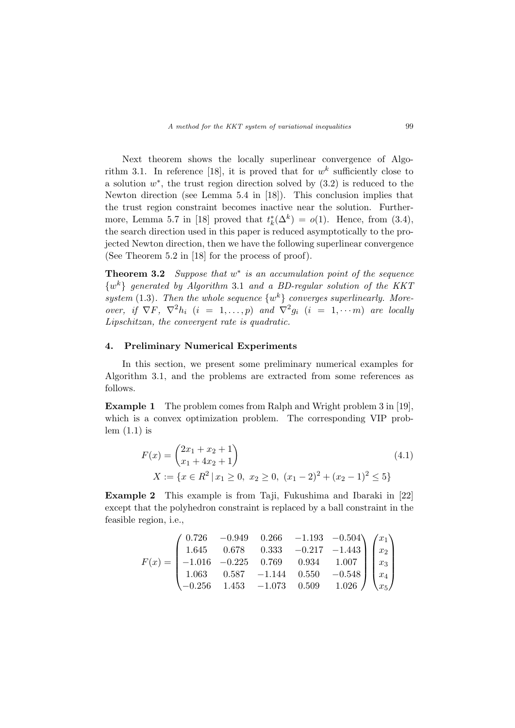Next theorem shows the locally superlinear convergence of Algorithm 3.1. In reference [18], it is proved that for  $w<sup>k</sup>$  sufficiently close to a solution  $w^*$ , the trust region direction solved by  $(3.2)$  is reduced to the Newton direction (see Lemma 5.4 in [18]). This conclusion implies that the trust region constraint becomes inactive near the solution. Furthermore, Lemma 5.7 in [18] proved that  $t_k^*(\Delta^k) = o(1)$ . Hence, from (3.4), the search direction used in this paper is reduced asymptotically to the projected Newton direction, then we have the following superlinear convergence (See Theorem 5.2 in [18] for the process of proof).

**Theorem 3.2** Suppose that  $w^*$  is an accumulation point of the sequence  $\{w^k\}$  generated by Algorithm 3.1 and a BD-regular solution of the KKT system (1.3). Then the whole sequence  $\{w^k\}$  converges superlinearly. Moreover, if  $\nabla F$ ,  $\nabla^2 h_i$   $(i = 1, ..., p)$  and  $\nabla^2 g_i$   $(i = 1, ..., m)$  are locally Lipschitzan, the convergent rate is quadratic.

### 4. Preliminary Numerical Experiments

In this section, we present some preliminary numerical examples for Algorithm 3.1, and the problems are extracted from some references as follows.

Example 1 The problem comes from Ralph and Wright problem 3 in [19], which is a convex optimization problem. The corresponding VIP problem  $(1.1)$  is

$$
F(x) = {2x_1 + x_2 + 1 \choose x_1 + 4x_2 + 1}
$$
  
\n
$$
X := \{x \in R^2 \mid x_1 \ge 0, \ x_2 \ge 0, \ (x_1 - 2)^2 + (x_2 - 1)^2 \le 5\}
$$
\n(4.1)

Example 2 This example is from Taji, Fukushima and Ibaraki in [22] except that the polyhedron constraint is replaced by a ball constraint in the feasible region, i.e.,

$$
F(x)=\begin{pmatrix} 0.726 & -0.949 & 0.266 & -1.193 & -0.504 \\ 1.645 & 0.678 & 0.333 & -0.217 & -1.443 \\ -1.016 & -0.225 & 0.769 & 0.934 & 1.007 \\ 1.063 & 0.587 & -1.144 & 0.550 & -0.548 \\ -0.256 & 1.453 & -1.073 & 0.509 & 1.026 \end{pmatrix}\begin{pmatrix} x_1 \\ x_2 \\ x_3 \\ x_4 \\ x_5 \end{pmatrix}
$$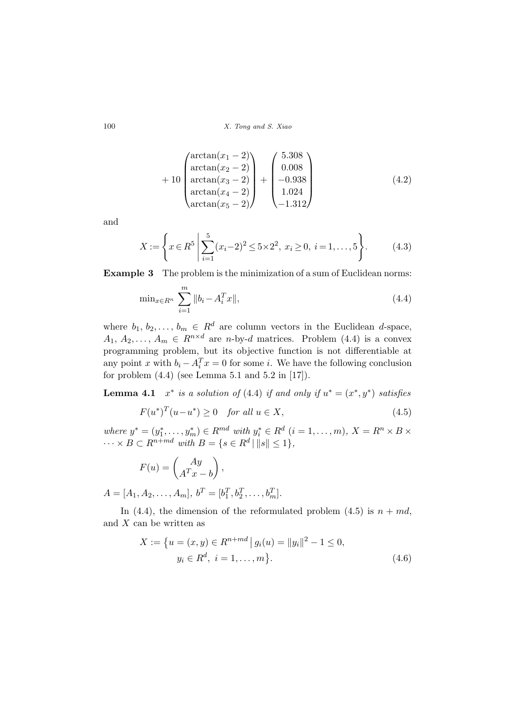$$
+ 10 \begin{pmatrix} \arctan(x_1 - 2) \\ \arctan(x_2 - 2) \\ \arctan(x_3 - 2) \\ \arctan(x_4 - 2) \\ \arctan(x_5 - 2) \end{pmatrix} + \begin{pmatrix} 5.308 \\ 0.008 \\ -0.938 \\ 1.024 \\ -1.312 \end{pmatrix}
$$
 (4.2)

and

$$
X := \left\{ x \in R^5 \mid \sum_{i=1}^5 (x_i - 2)^2 \le 5 \times 2^2, \ x_i \ge 0, \ i = 1, \dots, 5 \right\}.
$$
 (4.3)

Example 3 The problem is the minimization of a sum of Euclidean norms:

$$
\min_{x \in R^n} \sum_{i=1}^m \|b_i - A_i^T x\|,\tag{4.4}
$$

where  $b_1, b_2, \ldots, b_m \in \mathbb{R}^d$  are column vectors in the Euclidean d-space,  $A_1, A_2, \ldots, A_m \in R^{n \times d}$  are *n*-by-*d* matrices. Problem (4.4) is a convex programming problem, but its objective function is not differentiable at any point x with  $b_i - A_i^T x = 0$  for some i. We have the following conclusion for problem  $(4.4)$  (see Lemma 5.1 and 5.2 in [17]).

**Lemma 4.1**  $x^*$  is a solution of (4.4) if and only if  $u^* = (x^*, y^*)$  satisfies

$$
F(u^*)^T(u-u^*) \ge 0 \quad \text{for all } u \in X,\tag{4.5}
$$

where  $y^* = (y_1^*, \ldots, y_m^*) \in R^{md}$  with  $y_i^* \in R^d$   $(i = 1, \ldots, m)$ ,  $X = R^n \times B \times$  $\cdots \times B \subset R^{n+md}$  with  $B = \{s \in R^d \mid ||s|| \leq 1\},\$ 

$$
F(u) = \begin{pmatrix} Ay \\ A^T x - b \end{pmatrix},
$$

$$
A = [A_1, A_2, \dots, A_m], b^T = [b_1^T, b_2^T, \dots, b_m^T].
$$

In (4.4), the dimension of the reformulated problem (4.5) is  $n + md$ , and  $X$  can be written as

$$
X := \{ u = (x, y) \in R^{n+md} \mid g_i(u) = ||y_i||^2 - 1 \le 0, y_i \in R^d, \ i = 1, ..., m \}.
$$
\n(4.6)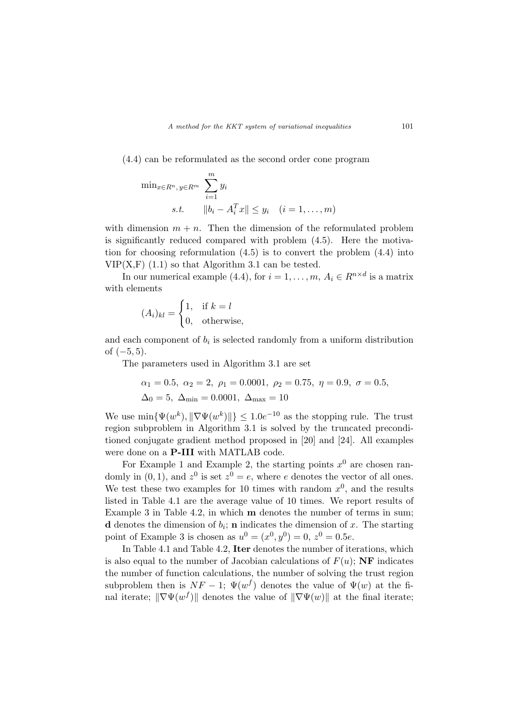(4.4) can be reformulated as the second order cone program

$$
\min_{x \in R^n, y \in R^m} \sum_{i=1}^m y_i
$$
  
s.t. 
$$
||b_i - A_i^T x|| \le y_i \quad (i = 1, \dots, m)
$$

with dimension  $m + n$ . Then the dimension of the reformulated problem is significantly reduced compared with problem (4.5). Here the motivation for choosing reformulation (4.5) is to convert the problem (4.4) into  $VIP(X,F)$  (1.1) so that Algorithm 3.1 can be tested.

In our numerical example (4.4), for  $i = 1, ..., m$ ,  $A_i \in R^{n \times d}$  is a matrix with elements

$$
(A_i)_{kl} = \begin{cases} 1, & \text{if } k = l \\ 0, & \text{otherwise,} \end{cases}
$$

and each component of  $b_i$  is selected randomly from a uniform distribution of  $(-5, 5)$ .

The parameters used in Algorithm 3.1 are set

$$
\alpha_1 = 0.5, \ \alpha_2 = 2, \ \rho_1 = 0.0001, \ \rho_2 = 0.75, \ \eta = 0.9, \ \sigma = 0.5, \ \Delta_0 = 5, \ \Delta_{\min} = 0.0001, \ \Delta_{\max} = 10
$$

We use  $\min{\{\Psi(w^k), \|\nabla \Psi(w^k)\|\}} \leq 1.0e^{-10}$  as the stopping rule. The trust region subproblem in Algorithm 3.1 is solved by the truncated preconditioned conjugate gradient method proposed in [20] and [24]. All examples were done on a P-III with MATLAB code.

For Example 1 and Example 2, the starting points  $x^0$  are chosen randomly in  $(0, 1)$ , and  $z<sup>0</sup>$  is set  $z<sup>0</sup> = e$ , where e denotes the vector of all ones. We test these two examples for 10 times with random  $x^0$ , and the results listed in Table 4.1 are the average value of 10 times. We report results of Example 3 in Table 4.2, in which m denotes the number of terms in sum; **d** denotes the dimension of  $b_i$ ; **n** indicates the dimension of x. The starting point of Example 3 is chosen as  $u^0 = (x^0, y^0) = 0, z^0 = 0.5e$ .

In Table 4.1 and Table 4.2, Iter denotes the number of iterations, which is also equal to the number of Jacobian calculations of  $F(u)$ ; NF indicates the number of function calculations, the number of solving the trust region subproblem then is  $NF - 1$ ;  $\Psi(w^f)$  denotes the value of  $\Psi(w)$  at the final iterate;  $\|\nabla\Psi(w^f)\|$  denotes the value of  $\|\nabla\Psi(w)\|$  at the final iterate;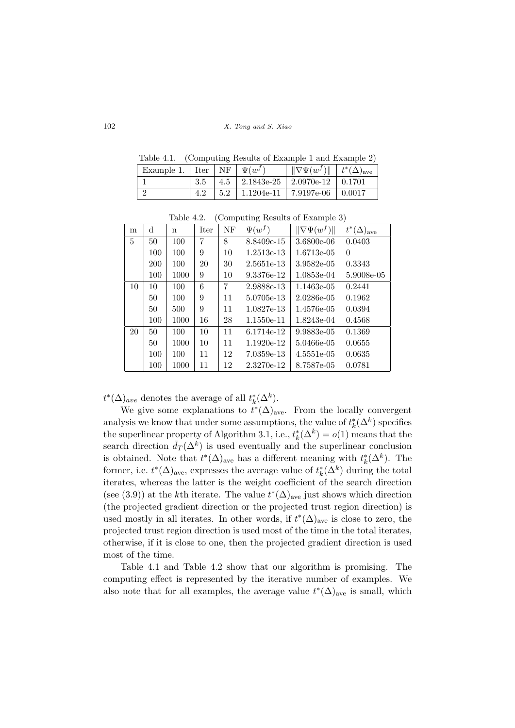Table 4.1. (Computing Results of Example 1 and Example 2)

| Example 1.   Iter   NF   $\Psi(w^f)$ |     | $\ \nabla \Psi(w^f)\ $ $ t^*(\Delta)_{\rm ave}$ |  |
|--------------------------------------|-----|-------------------------------------------------|--|
|                                      |     | $4.5$   $2.1843e-25$   $2.0970e-12$   $0.1701$  |  |
|                                      | 5.2 | $1.1204e-11$   $7.9197e-06$   $0.0017$          |  |

| m  | d          | $\mathbf n$ | Iter | NF | $\Psi(w^f)$ | $\ \nabla \Psi(w^f)\ $ | $t^*(\Delta)_{\text{ave}}$ |
|----|------------|-------------|------|----|-------------|------------------------|----------------------------|
| 5  | 50         | 100         | 7    | 8  | 8.8409e-15  | 3.6800e-06             | 0.0403                     |
|    | 100        | 100         | 9    | 10 | 1.2513e-13  | 1.6713e-05             | $\Omega$                   |
|    | <b>200</b> | 100         | 20   | 30 | 2.5651e-13  | 3.9582e-05             | 0.3343                     |
|    | 100        | 1000        | 9    | 10 | 9.3376e-12  | 1.0853e-04             | 5.9008e-05                 |
| 10 | 10         | 100         | 6    | 7  | 2.9888e-13  | 1.1463e-05             | 0.2441                     |
|    | 50         | 100         | 9    | 11 | 5.0705e-13  | $2.0286e-05$           | 0.1962                     |
|    | 50         | 500         | 9    | 11 | 1.0827e-13  | 1.4576e-05             | 0.0394                     |
|    | 100        | 1000        | 16   | 28 | 1.1550e-11  | 1.8243e-04             | 0.4568                     |
| 20 | 50         | 100         | 10   | 11 | 6.1714e-12  | 9.9883e-05             | 0.1369                     |
|    | 50         | 1000        | 10   | 11 | 1.1920e-12  | 5.0466e-05             | 0.0655                     |
|    | 100        | 100         | 11   | 12 | 7.0359e-13  | 4.5551e-05             | 0.0635                     |
|    | 100        | 1000        | 11   | 12 | 2.3270e-12  | 8.7587e-05             | 0.0781                     |

Table 4.2. (Computing Results of Example 3)

 $t^*(\Delta)_{ave}$  denotes the average of all  $t_k^*(\Delta^k)$ .

We give some explanations to  $t^*(\Delta)_{\text{ave}}$ . From the locally convergent analysis we know that under some assumptions, the value of  $t_k^*(\Delta^k)$  specifies the superlinear property of Algorithm 3.1, i.e.,  $t_k^*(\Delta^k) = o(1)$  means that the search direction  $\bar{d}_T(\Delta^k)$  is used eventually and the superlinear conclusion is obtained. Note that  $t^*(\Delta)_{\text{ave}}$  has a different meaning with  $t^*_k(\Delta^k)$ . The former, i.e.  $t^*(\Delta)_{\text{ave}}$ , expresses the average value of  $t^*_k(\Delta^k)$  during the total iterates, whereas the latter is the weight coefficient of the search direction (see (3.9)) at the k<sup>th</sup> iterate. The value  $t^*(\Delta)_{\text{ave}}$  just shows which direction (the projected gradient direction or the projected trust region direction) is used mostly in all iterates. In other words, if  $t^*(\Delta)_{\text{ave}}$  is close to zero, the projected trust region direction is used most of the time in the total iterates, otherwise, if it is close to one, then the projected gradient direction is used most of the time.

Table 4.1 and Table 4.2 show that our algorithm is promising. The computing effect is represented by the iterative number of examples. We also note that for all examples, the average value  $t^*(\Delta)_{\text{ave}}$  is small, which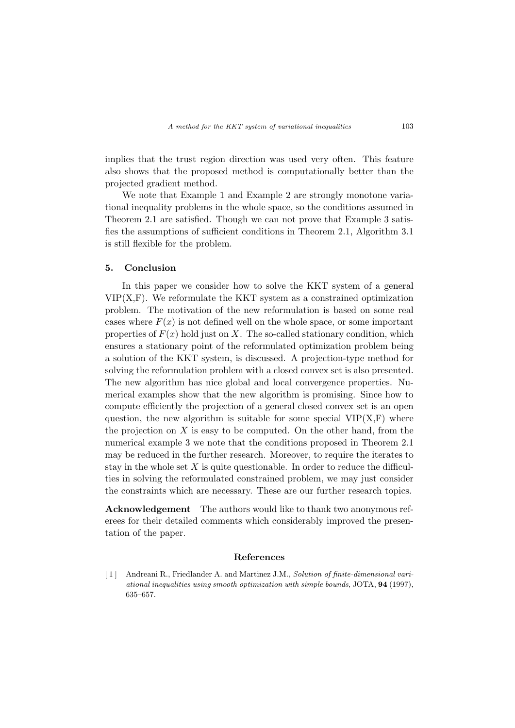implies that the trust region direction was used very often. This feature also shows that the proposed method is computationally better than the projected gradient method.

We note that Example 1 and Example 2 are strongly monotone variational inequality problems in the whole space, so the conditions assumed in Theorem 2.1 are satisfied. Though we can not prove that Example 3 satisfies the assumptions of sufficient conditions in Theorem 2.1, Algorithm 3.1 is still flexible for the problem.

### 5. Conclusion

In this paper we consider how to solve the KKT system of a general  $VIP(X,F)$ . We reformulate the KKT system as a constrained optimization problem. The motivation of the new reformulation is based on some real cases where  $F(x)$  is not defined well on the whole space, or some important properties of  $F(x)$  hold just on X. The so-called stationary condition, which ensures a stationary point of the reformulated optimization problem being a solution of the KKT system, is discussed. A projection-type method for solving the reformulation problem with a closed convex set is also presented. The new algorithm has nice global and local convergence properties. Numerical examples show that the new algorithm is promising. Since how to compute efficiently the projection of a general closed convex set is an open question, the new algorithm is suitable for some special  $VIP(X,F)$  where the projection on  $X$  is easy to be computed. On the other hand, from the numerical example 3 we note that the conditions proposed in Theorem 2.1 may be reduced in the further research. Moreover, to require the iterates to stay in the whole set  $X$  is quite questionable. In order to reduce the difficulties in solving the reformulated constrained problem, we may just consider the constraints which are necessary. These are our further research topics.

Acknowledgement The authors would like to thank two anonymous referees for their detailed comments which considerably improved the presentation of the paper.

#### References

[ 1 ] Andreani R., Friedlander A. and Martinez J.M., Solution of finite-dimensional variational inequalities using smooth optimization with simple bounds, JOTA, 94 (1997), 635–657.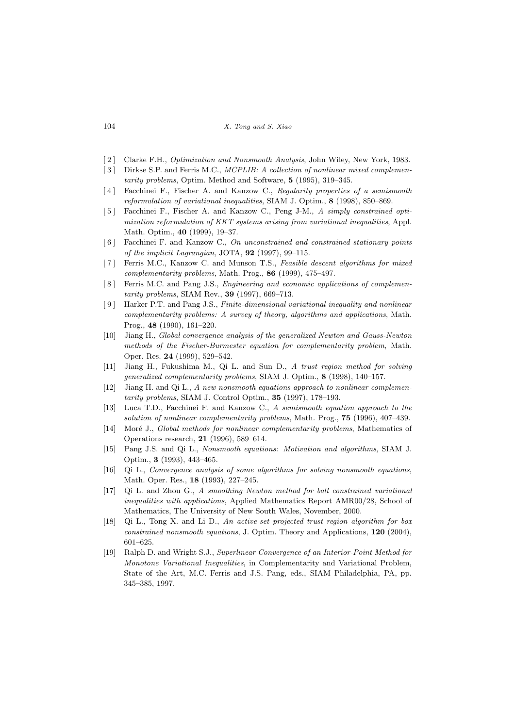104 X. Tong and S. Xiao

- [2] Clarke F.H., *Optimization and Nonsmooth Analysis*, John Wiley, New York, 1983.
- [3] Dirkse S.P. and Ferris M.C., *MCPLIB: A collection of nonlinear mixed complemen*tarity problems, Optim. Method and Software, 5 (1995), 319–345.
- [4] Facchinei F., Fischer A. and Kanzow C., Regularity properties of a semismooth reformulation of variational inequalities, SIAM J. Optim., 8 (1998), 850–869.
- [5] Facchinei F., Fischer A. and Kanzow C., Peng J-M., A simply constrained optimization reformulation of KKT systems arising from variational inequalities, Appl. Math. Optim., 40 (1999), 19–37.
- [ 6 ] Facchinei F. and Kanzow C., On unconstrained and constrained stationary points of the implicit Lagrangian, JOTA, 92 (1997), 99–115.
- [ 7 ] Ferris M.C., Kanzow C. and Munson T.S., Feasible descent algorithms for mixed complementarity problems, Math. Prog., 86 (1999), 475–497.
- [8] Ferris M.C. and Pang J.S., *Engineering and economic applications of complemen*tarity problems, SIAM Rev., 39 (1997), 669–713.
- [ 9 ] Harker P.T. and Pang J.S., Finite-dimensional variational inequality and nonlinear complementarity problems: A survey of theory, algorithms and applications, Math. Prog., 48 (1990), 161–220.
- [10] Jiang H., Global convergence analysis of the generalized Newton and Gauss-Newton methods of the Fischer-Burmester equation for complementarity problem, Math. Oper. Res. 24 (1999), 529–542.
- [11] Jiang H., Fukushima M., Qi L. and Sun D., A trust region method for solving generalized complementarity problems, SIAM J. Optim., 8 (1998), 140–157.
- [12] Jiang H. and Qi L., A new nonsmooth equations approach to nonlinear complementarity problems, SIAM J. Control Optim., 35 (1997), 178–193.
- [13] Luca T.D., Facchinei F. and Kanzow C., A semismooth equation approach to the solution of nonlinear complementarity problems, Math. Prog., 75 (1996), 407–439.
- [14] Moré J., Global methods for nonlinear complementarity problems, Mathematics of Operations research, 21 (1996), 589–614.
- [15] Pang J.S. and Qi L., Nonsmooth equations: Motivation and algorithms, SIAM J. Optim., 3 (1993), 443–465.
- [16] Qi L., Convergence analysis of some algorithms for solving nonsmooth equations, Math. Oper. Res., 18 (1993), 227–245.
- [17] Qi L. and Zhou G., A smoothing Newton method for ball constrained variational inequalities with applications, Applied Mathematics Report AMR00/28, School of Mathematics, The University of New South Wales, November, 2000.
- [18] Qi L., Tong X. and Li D., An active-set projected trust region algorithm for box constrained nonsmooth equations, J. Optim. Theory and Applications, 120 (2004), 601–625.
- [19] Ralph D. and Wright S.J., Superlinear Convergence of an Interior-Point Method for Monotone Variational Inequalities, in Complementarity and Variational Problem, State of the Art, M.C. Ferris and J.S. Pang, eds., SIAM Philadelphia, PA, pp. 345–385, 1997.